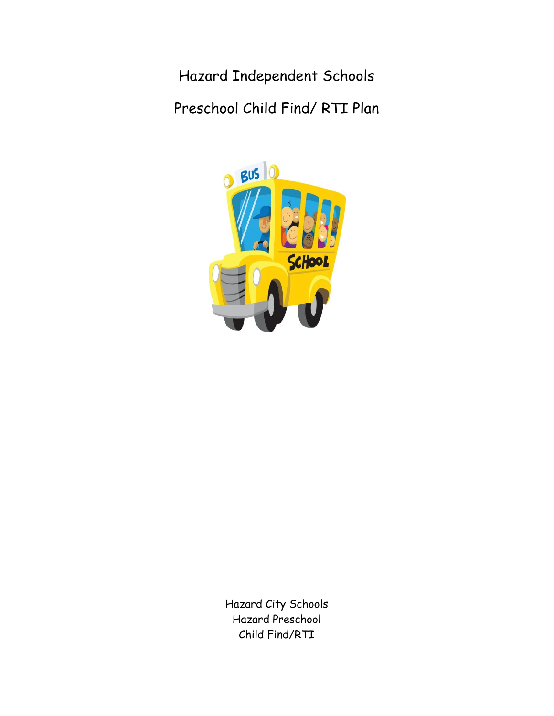Hazard Independent Schools Preschool Child Find/ RTI Plan



Hazard City Schools Hazard Preschool Child Find/RTI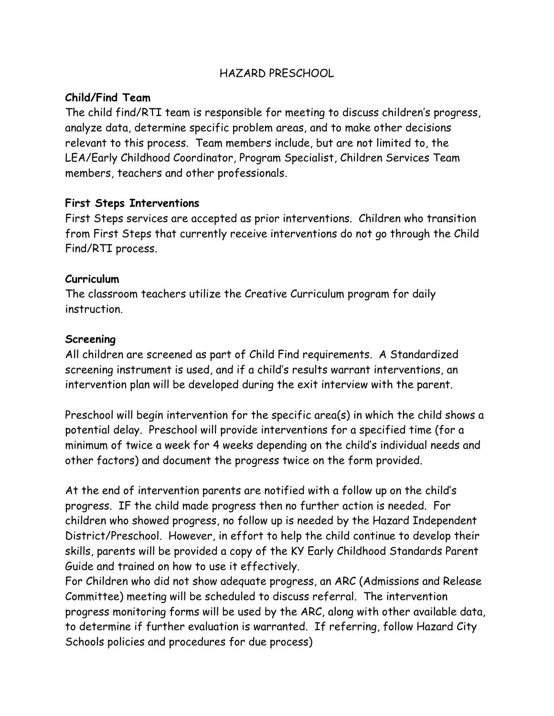# HAZARD PRESCHOOL

### **Child/Find Team**

The child find/RTI team is responsible for meeting to discuss children's progress, analyze data, determine specific problem areas, and to make other decisions relevant to this process. Team members include, but are not limited to, the LEA/Early Childhood Coordinator, Program Specialist, Children Services Team members, teachers and other professionals.

### **First Steps Interventions**

First Steps services are accepted as prior interventions. Children who transition from First Steps that currently receive interventions do not go through the Child Find/RTI process.

#### **Curriculum**

The classroom teachers utilize the Creative Curriculum program for daily instruction.

### **Screening**

All children are screened as part of Child Find requirements. A Standardized screening instrument is used, and if a child's results warrant interventions, an intervention plan will be developed during the exit interview with the parent.

Preschool will begin intervention for the specific area(s) in which the child shows a potential delay. Preschool will provide interventions for a specified time (for a minimum of twice a week for 4 weeks depending on the child's individual needs and other factors) and document the progress twice on the form provided.

At the end of intervention parents are notified with a follow up on the child's progress. IF the child made progress then no further action is needed. For children who showed progress, no follow up is needed by the Hazard Independent District/Preschool. However, in effort to help the child continue to develop their skills, parents will be provided a copy of the KY Early Childhood Standards Parent Guide and trained on how to use it effectively.

For Children who did not show adequate progress, an ARC (Admissions and Release Committee) meeting will be scheduled to discuss referral. The intervention progress monitoring forms will be used by the ARC, along with other available data, to determine if further evaluation is warranted. If referring, follow Hazard City Schools policies and procedures for due process)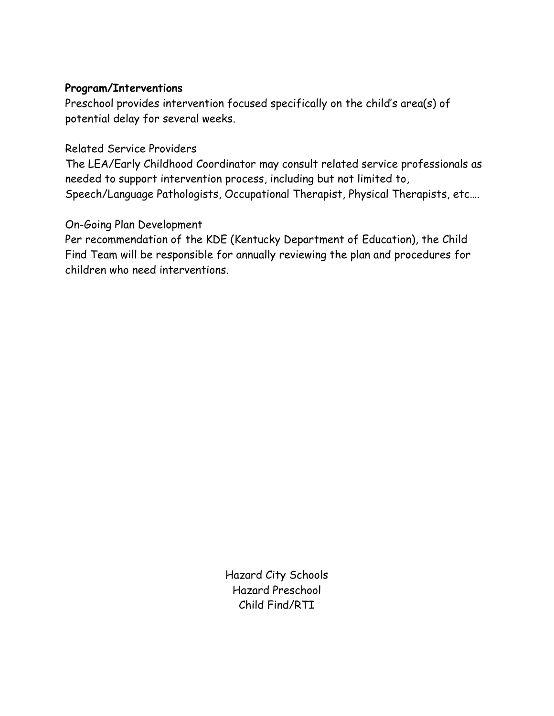### **Program/Interventions**

Preschool provides intervention focused specifically on the child's area(s) of potential delay for several weeks.

### Related Service Providers

The LEA/Early Childhood Coordinator may consult related service professionals as needed to support intervention process, including but not limited to, Speech/Language Pathologists, Occupational Therapist, Physical Therapists, etc….

# On-Going Plan Development

Per recommendation of the KDE (Kentucky Department of Education), the Child Find Team will be responsible for annually reviewing the plan and procedures for children who need interventions.

> Hazard City Schools Hazard Preschool Child Find/RTI